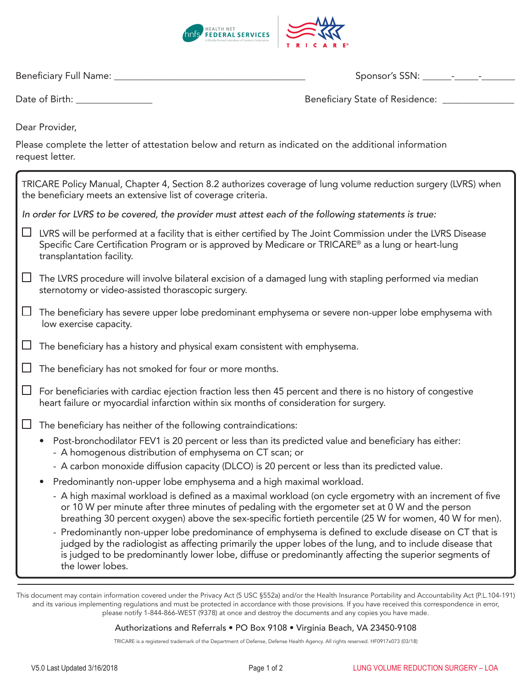

Beneficiary Full Name: \_\_\_\_\_\_\_\_\_\_\_\_\_\_\_\_\_\_\_\_\_\_\_\_\_\_\_\_\_\_\_\_\_\_\_\_\_\_\_\_ Sponsor's SSN: \_\_\_\_\_\_-\_\_\_\_\_-\_\_\_\_\_\_\_

| Date of Birth: |  |
|----------------|--|
|----------------|--|

Beneficiary State of Residence: \_\_\_\_\_\_\_\_\_\_\_\_\_\_\_

Dear Provider,

Please complete the letter of attestation below and return as indicated on the additional information request letter.

| TRICARE Policy Manual, Chapter 4, Section 8.2 authorizes coverage of lung volume reduction surgery (LVRS) when<br>the beneficiary meets an extensive list of coverage criteria. |                                                                                                                                                                                                                                                                                                                                                |  |  |  |
|---------------------------------------------------------------------------------------------------------------------------------------------------------------------------------|------------------------------------------------------------------------------------------------------------------------------------------------------------------------------------------------------------------------------------------------------------------------------------------------------------------------------------------------|--|--|--|
| In order for LVRS to be covered, the provider must attest each of the following statements is true:                                                                             |                                                                                                                                                                                                                                                                                                                                                |  |  |  |
|                                                                                                                                                                                 | LVRS will be performed at a facility that is either certified by The Joint Commission under the LVRS Disease<br>Specific Care Certification Program or is approved by Medicare or TRICARE® as a lung or heart-lung<br>transplantation facility.                                                                                                |  |  |  |
| $\sqcup$                                                                                                                                                                        | The LVRS procedure will involve bilateral excision of a damaged lung with stapling performed via median<br>sternotomy or video-assisted thorascopic surgery.                                                                                                                                                                                   |  |  |  |
|                                                                                                                                                                                 | The beneficiary has severe upper lobe predominant emphysema or severe non-upper lobe emphysema with<br>low exercise capacity.                                                                                                                                                                                                                  |  |  |  |
|                                                                                                                                                                                 | The beneficiary has a history and physical exam consistent with emphysema.                                                                                                                                                                                                                                                                     |  |  |  |
|                                                                                                                                                                                 | The beneficiary has not smoked for four or more months.                                                                                                                                                                                                                                                                                        |  |  |  |
| $\Box$                                                                                                                                                                          | For beneficiaries with cardiac ejection fraction less then 45 percent and there is no history of congestive<br>heart failure or myocardial infarction within six months of consideration for surgery.                                                                                                                                          |  |  |  |
|                                                                                                                                                                                 | The beneficiary has neither of the following contraindications:                                                                                                                                                                                                                                                                                |  |  |  |
|                                                                                                                                                                                 | Post-bronchodilator FEV1 is 20 percent or less than its predicted value and beneficiary has either:<br>$\bullet$<br>- A homogenous distribution of emphysema on CT scan; or                                                                                                                                                                    |  |  |  |
|                                                                                                                                                                                 | - A carbon monoxide diffusion capacity (DLCO) is 20 percent or less than its predicted value.                                                                                                                                                                                                                                                  |  |  |  |
|                                                                                                                                                                                 | Predominantly non-upper lobe emphysema and a high maximal workload.<br>$\bullet$                                                                                                                                                                                                                                                               |  |  |  |
|                                                                                                                                                                                 | - A high maximal workload is defined as a maximal workload (on cycle ergometry with an increment of five<br>or 10 W per minute after three minutes of pedaling with the ergometer set at 0 W and the person<br>breathing 30 percent oxygen) above the sex-specific fortieth percentile (25 W for women, 40 W for men).                         |  |  |  |
|                                                                                                                                                                                 | - Predominantly non-upper lobe predominance of emphysema is defined to exclude disease on CT that is<br>judged by the radiologist as affecting primarily the upper lobes of the lung, and to include disease that<br>is judged to be predominantly lower lobe, diffuse or predominantly affecting the superior segments of<br>the lower lobes. |  |  |  |

This document may contain information covered under the Privacy Act (5 USC §552a) and/or the Health Insurance Portability and Accountability Act (P.L.104-191) and its various implementing regulations and must be protected in accordance with those provisions. If you have received this correspondence in error, please notify 1-844-866-WEST (9378) at once and destroy the documents and any copies you have made.

## Authorizations and Referrals • PO Box 9108 • Virginia Beach, VA 23450-9108

TRICARE is a registered trademark of the Department of Defense, Defense Health Agency. All rights reserved. HF0917x073 (03/18)